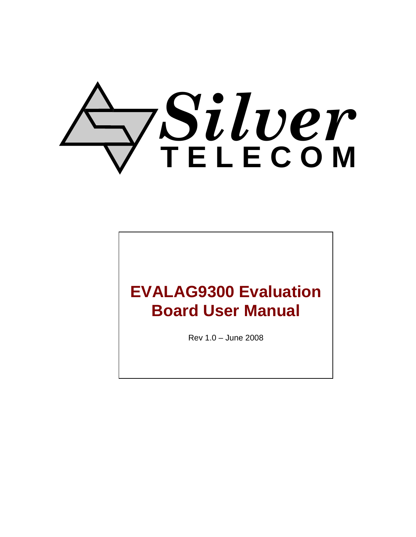# *Silver* **T E L E C O M**

# **EVALAG9300 Evaluation Board User Manual**

Rev 1.0 – June 2008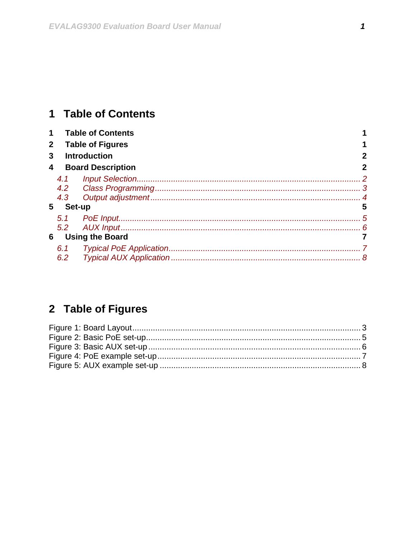### <span id="page-1-0"></span>1 Table of Contents

| $\mathbf 1$    |                          | <b>Table of Contents</b> |              |
|----------------|--------------------------|--------------------------|--------------|
| 2 <sup>1</sup> | <b>Table of Figures</b>  |                          |              |
| 3              |                          | <b>Introduction</b>      | $\mathbf{2}$ |
| 4              | <b>Board Description</b> |                          |              |
|                | 4.2<br>4.3               |                          | 5            |
| Set-up<br>5    |                          |                          |              |
| 6              | 5.2                      | <b>Using the Board</b>   |              |
|                | 6.1<br>6.2               |                          |              |

## 2 Table of Figures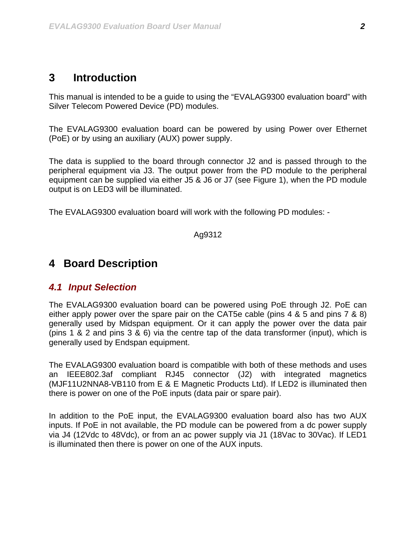#### <span id="page-2-0"></span>**3 Introduction**

This manual is intended to be a guide to using the "EVALAG9300 evaluation board" with Silver Telecom Powered Device (PD) modules.

The EVALAG9300 evaluation board can be powered by using Power over Ethernet (PoE) or by using an auxiliary (AUX) power supply.

The data is supplied to the board through connector J2 and is passed through to the peripheral equipment via J3. The output power from the PD module to the peripheral equipment can be supplied via either J5 & J6 or J7 (see [Figure 1](#page-3-1)), when the PD module output is on LED3 will be illuminated.

The EVALAG9300 evaluation board will work with the following PD modules: -

Ag9312

#### **4 Board Description**

#### *4.1 Input Selection*

The EVALAG9300 evaluation board can be powered using PoE through J2. PoE can either apply power over the spare pair on the CAT5e cable (pins 4 & 5 and pins 7 & 8) generally used by Midspan equipment. Or it can apply the power over the data pair (pins 1 & 2 and pins 3 & 6) via the centre tap of the data transformer (input), which is generally used by Endspan equipment.

The EVALAG9300 evaluation board is compatible with both of these methods and uses an IEEE802.3af compliant RJ45 connector (J2) with integrated magnetics (MJF11U2NNA8-VB110 from E & E Magnetic Products Ltd). If LED2 is illuminated then there is power on one of the PoE inputs (data pair or spare pair).

In addition to the PoE input, the EVALAG9300 evaluation board also has two AUX inputs. If PoE in not available, the PD module can be powered from a dc power supply via J4 (12Vdc to 48Vdc), or from an ac power supply via J1 (18Vac to 30Vac). If LED1 is illuminated then there is power on one of the AUX inputs.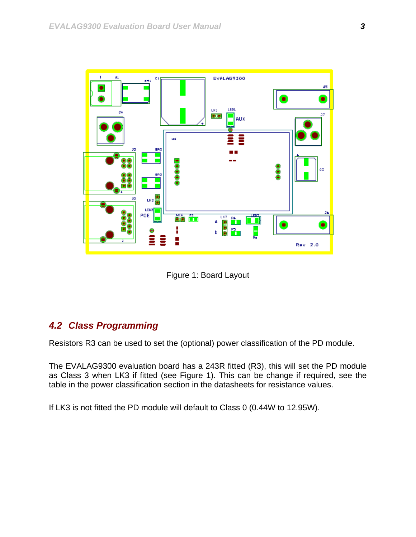<span id="page-3-0"></span>

Figure 1: Board Layout

#### <span id="page-3-1"></span>*4.2 Class Programming*

Resistors R3 can be used to set the (optional) power classification of the PD module.

The EVALAG9300 evaluation board has a 243R fitted (R3), this will set the PD module as Class 3 when LK3 if fitted (see [Figure 1](#page-3-1)). This can be change if required, see the table in the power classification section in the datasheets for resistance values.

If LK3 is not fitted the PD module will default to Class 0 (0.44W to 12.95W).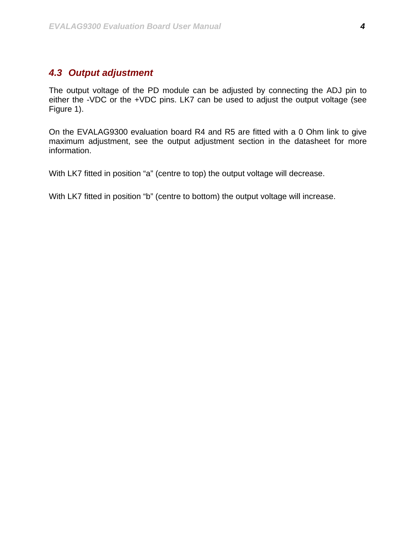#### <span id="page-4-0"></span>*4.3 Output adjustment*

The output voltage of the PD module can be adjusted by connecting the ADJ pin to either the -VDC or the +VDC pins. LK7 can be used to adjust the output voltage (see [Figure 1\)](#page-3-1).

On the EVALAG9300 evaluation board R4 and R5 are fitted with a 0 Ohm link to give maximum adjustment, see the output adjustment section in the datasheet for more information.

With LK7 fitted in position "a" (centre to top) the output voltage will decrease.

With LK7 fitted in position "b" (centre to bottom) the output voltage will increase.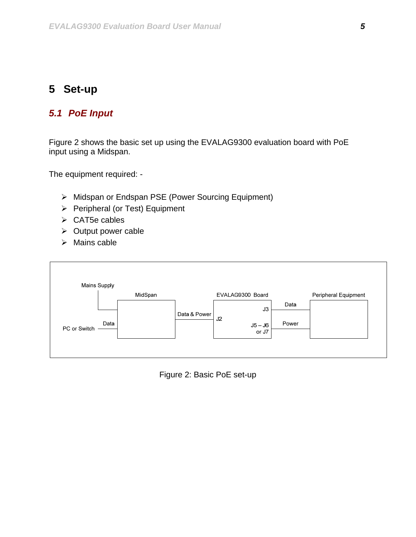#### <span id="page-5-0"></span>**5 Set-up**

#### *5.1 PoE Input*

Figure 2 shows the basic set up using the EVALAG9300 evaluation board with PoE input using a Midspan.

The equipment required: -

- ¾ Midspan or Endspan PSE (Power Sourcing Equipment)
- ¾ Peripheral (or Test) Equipment
- $\triangleright$  CAT5e cables
- $\triangleright$  Output power cable
- $\triangleright$  Mains cable



Figure 2: Basic PoE set-up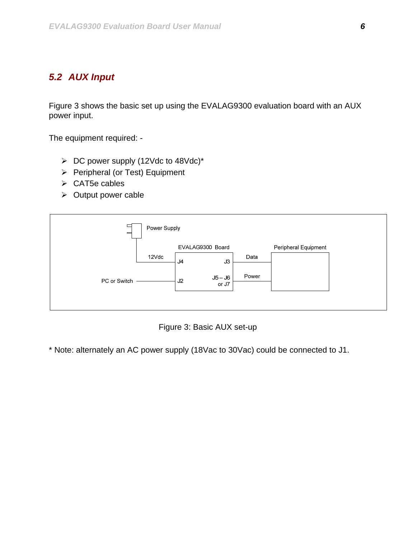#### <span id="page-6-0"></span>*5.2 AUX Input*

Figure 3 shows the basic set up using the EVALAG9300 evaluation board with an AUX power input.

The equipment required: -

- $\triangleright$  DC power supply (12Vdc to 48Vdc)\*
- $\triangleright$  Peripheral (or Test) Equipment
- $\triangleright$  CAT5e cables
- $\triangleright$  Output power cable



Figure 3: Basic AUX set-up

\* Note: alternately an AC power supply (18Vac to 30Vac) could be connected to J1.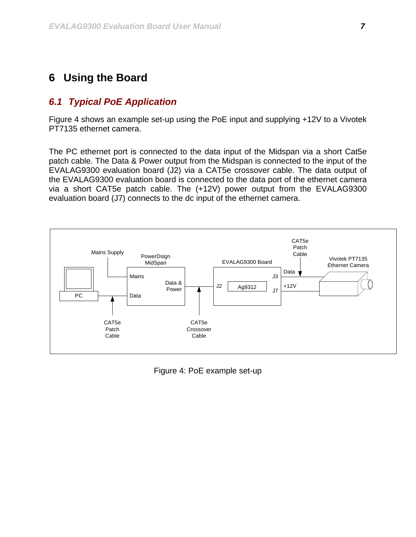#### <span id="page-7-0"></span>**6 Using the Board**

#### *6.1 Typical PoE Application*

Figure 4 shows an example set-up using the PoE input and supplying +12V to a Vivotek PT7135 ethernet camera.

The PC ethernet port is connected to the data input of the Midspan via a short Cat5e patch cable. The Data & Power output from the Midspan is connected to the input of the EVALAG9300 evaluation board (J2) via a CAT5e crossover cable. The data output of the EVALAG9300 evaluation board is connected to the data port of the ethernet camera via a short CAT5e patch cable. The (+12V) power output from the EVALAG9300 evaluation board (J7) connects to the dc input of the ethernet camera.



Figure 4: PoE example set-up